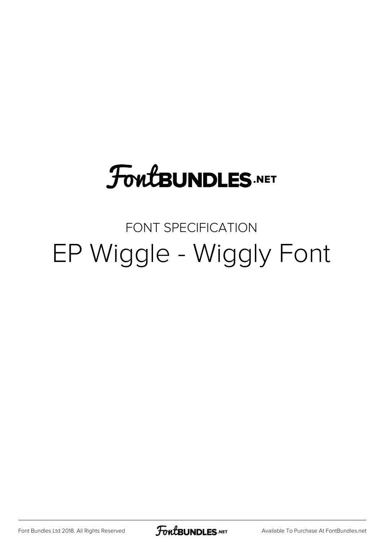# **FoutBUNDLES.NET**

#### FONT SPECIFICATION EP Wiggle - Wiggly Font

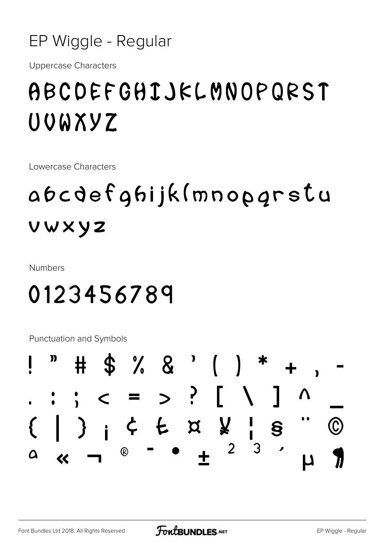

**Uppercase Characters** 

### ABCDEFGHIJKLMNOPQRST UOWXYZ

Lowercase Characters

## abcdefghijk(mnopgrstu vwxyz

**Numbers** 

#### 0123456789

**Punctuation and Symbols** 

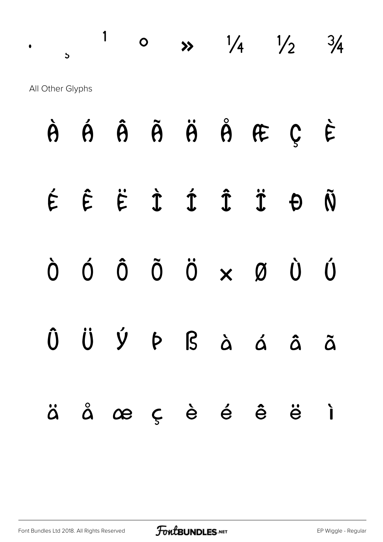$\cdot$  ,  $\frac{1}{1}$  o  $\frac{1}{4}$   $\frac{1}{2}$   $\frac{3}{4}$ All Other Glyphs

|  | $\dot{\theta}$ $\dot{\theta}$ $\ddot{\theta}$ $\ddot{\theta}$ $\ddot{\theta}$ $\theta$ $\ddot{\theta}$ $\theta$ $\ddot{\theta}$                                                                                                                                                                                                |  |  |  |
|--|--------------------------------------------------------------------------------------------------------------------------------------------------------------------------------------------------------------------------------------------------------------------------------------------------------------------------------|--|--|--|
|  | $\acute{\epsilon}$ $\acute{\epsilon}$ $\acute{\epsilon}$ $\acute{\tau}$ $\acute{\tau}$ $\acute{\tau}$ $\acute{\tau}$ $\theta$ $\ddot{\theta}$                                                                                                                                                                                  |  |  |  |
|  | $\begin{matrix} 0 & 0 & 0 & 0 \\ 0 & 0 & 0 & 0 \\ 0 & 0 & 0 & 0 \\ 0 & 0 & 0 & 0 \\ 0 & 0 & 0 & 0 \\ 0 & 0 & 0 & 0 \\ 0 & 0 & 0 & 0 \\ 0 & 0 & 0 & 0 \\ 0 & 0 & 0 & 0 \\ 0 & 0 & 0 & 0 \\ 0 & 0 & 0 & 0 \\ 0 & 0 & 0 & 0 & 0 \\ 0 & 0 & 0 & 0 & 0 \\ 0 & 0 & 0 & 0 & 0 \\ 0 & 0 & 0 & 0 & 0 \\ 0 & 0 & 0 & 0 & 0 & 0 \\ 0 & 0$ |  |  |  |
|  | Û Ü Ý Þ ß à á â ã                                                                                                                                                                                                                                                                                                              |  |  |  |
|  | äåæçèéêëì                                                                                                                                                                                                                                                                                                                      |  |  |  |